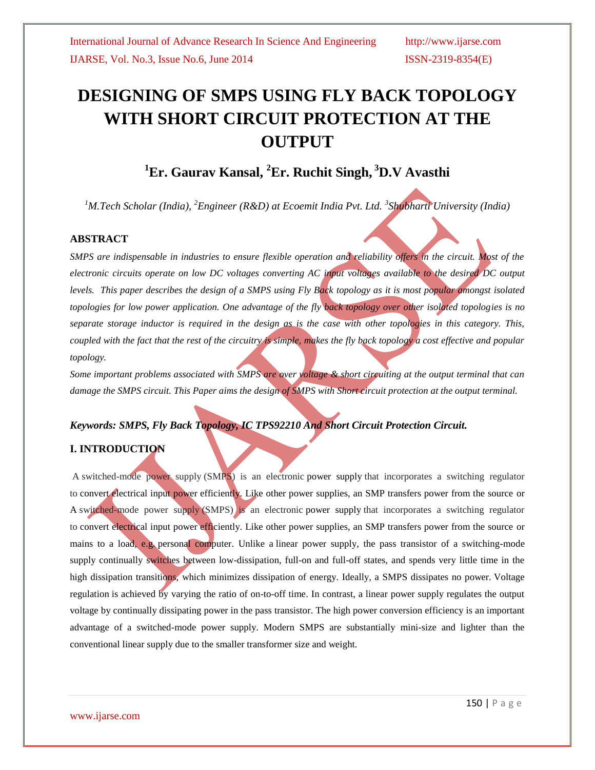# **DESIGNING OF SMPS USING FLY BACK TOPOLOGY WITH SHORT CIRCUIT PROTECTION AT THE OUTPUT**

## **<sup>1</sup>Er. Gaurav Kansal, <sup>2</sup>Er. Ruchit Singh, <sup>3</sup>D.V Avasthi**

*<sup>1</sup>M.Tech Scholar (India), <sup>2</sup>Engineer (R&D) at Ecoemit India Pvt. Ltd. <sup>3</sup> Shubharti University (India)*

#### **ABSTRACT**

*SMPS are indispensable in industries to ensure flexible operation and reliability offers in the circuit. Most of the electronic circuits operate on low DC voltages converting AC input voltages available to the desired DC output levels. This paper describes the design of a SMPS using Fly Back topology as it is most popular amongst isolated topologies for low power application. One advantage of the fly back topology over other isolated topologies is no separate storage inductor is required in the design as is the case with other topologies in this category. This, coupled with the fact that the rest of the circuitry is simple, makes the fly back topology a cost effective and popular topology.*

*Some important problems associated with SMPS are over voltage & short circuiting at the output terminal that can damage the SMPS circuit. This Paper aims the design of SMPS with Short circuit protection at the output terminal.*

## *Keywords: SMPS, Fly Back Topology, IC TPS92210 And Short Circuit Protection Circuit.*

### **I. INTRODUCTION**

A switched-mode power supply (SMPS) is an electronic [power supply](http://en.wikipedia.org/wiki/Power_supply) that incorporates a switching regulator to [convert electrical input power](http://en.wikipedia.org/wiki/Electrical_power_conversion) efficiently. Like other power supplies, an SMP transfers power from the source or A switched-mode power supply (SMPS) is an electronic [power supply](http://en.wikipedia.org/wiki/Power_supply) that incorporates a switching regulator to [convert electrical input power](http://en.wikipedia.org/wiki/Electrical_power_conversion) efficiently. Like other power supplies, an SMP transfers power from the source or [mains](http://en.wikipedia.org/wiki/Mains_electricity) to a load, e.g. [personal computer.](http://en.wikipedia.org/wiki/Personal_computer) Unlike a [linear power supply,](http://en.wikipedia.org/wiki/Linear_power_supply) the pass transistor of a switching-mode supply continually switches between low[-dissipation,](http://en.wikipedia.org/wiki/Dissipation) full-on and full-off states, and spends very little time in the high dissipation transitions, which minimizes dissipation of energy. Ideally, a SMPS dissipates no power. [Voltage](http://en.wikipedia.org/wiki/Voltage_regulator)  [regulation](http://en.wikipedia.org/wiki/Voltage_regulator) is achieved by varying the ratio of on-to-off time. In contrast, a linear power supply regulates the output voltage by continually dissipating power in the pass [transistor.](http://en.wikipedia.org/wiki/Transistor) The high power conversion efficiency is an important advantage of a switched-mode power supply. Modern SMPS are substantially mini-size and lighter than the conventional linear supply due to the smaller transformer size and weight.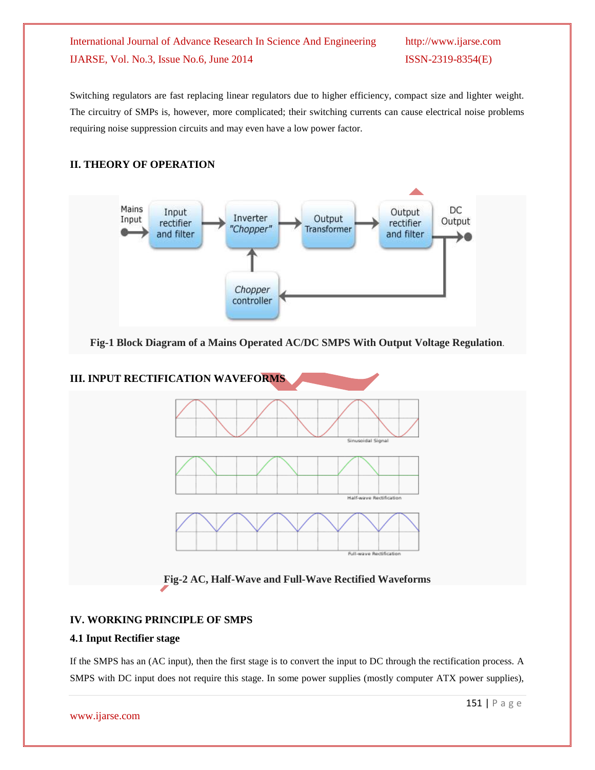Switching regulators are fast replacing linear regulators due to higher efficiency, compact size and lighter weight. The circuitry of SMPs is, however, more complicated; their switching currents can cause electrical noise problems requiring noise suppression circuits and may even have a low power factor.

#### **II. THEORY OF OPERATION**



**Fig-1 Block Diagram of a Mains Operated AC/DC SMPS With Output Voltage Regulation**.



**Fig-2 AC, Half-Wave and Full-Wave Rectified Waveforms**

### **IV. WORKING PRINCIPLE OF SMPS**

#### **4.1 Input Rectifier stage**

If the SMPS has an (AC input), then the first stage is to convert the input to DC through the rectification process. A SMPS with DC input does not require this stage. In some power supplies (mostly computer ATX power supplies),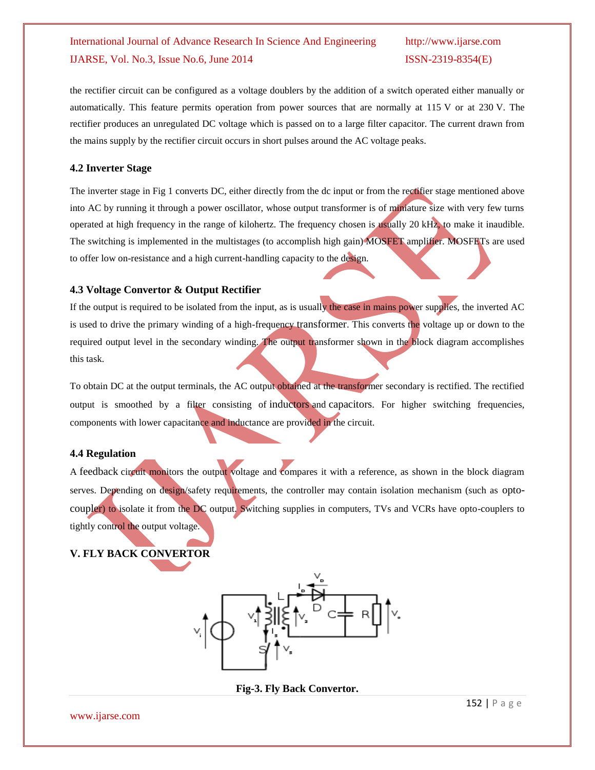the rectifier circuit can be configured as a voltage doublers by the addition of a switch operated either manually or automatically. This feature permits operation from power sources that are normally at 115 V or at 230 V. The rectifier produces an unregulated DC voltage which is passed on to a large filter capacitor. The current drawn from the mains supply by the rectifier circuit occurs in short pulses around the AC voltage peaks.

#### **4.2 Inverter Stage**

The inverter stage in Fig 1 converts DC, either directly from the dc input or from the rectifier stage mentioned above into AC by running it through a power oscillator, whose output transformer is of miniature size with very few turns operated at high frequency in the range of [kilohertz.](http://en.wikipedia.org/wiki/Kilohertz) The frequency chosen is usually 20 kHz, to make it inaudible. The switching is implemented in the multistages (to accomplish high gain) [MOSFET](http://en.wikipedia.org/wiki/MOSFET) amplifier. MOSFETs are used to offer low on[-resistance](http://en.wikipedia.org/wiki/Electrical_resistance) and a high current-handling capacity to the design.

### **4.3 Voltage Convertor & Output Rectifier**

If the output is required to be isolated from the input, as is usually the case in mains power supplies, the inverted AC is used to drive the primary winding of a high-frequency [transformer](http://en.wikipedia.org/wiki/Transformer). This converts the voltage up or down to the required output level in the secondary winding. The output transformer shown in the block diagram accomplishes this task.

To obtain DC at the output terminals, the AC output obtained at the transformer secondary is rectified. The rectified output is smoothed by a filter consisting of [inductors](http://en.wikipedia.org/wiki/Inductor) and [capacitors](http://en.wikipedia.org/wiki/Capacitor). For higher switching frequencies, components with lower capacitance and inductance are provided in the circuit.

#### **4.4 Regulation**

A [feedback](http://en.wikipedia.org/wiki/Feedback) circuit monitors the output voltage and compares it with a reference, as shown in the block diagram serves. Depending on design/safety requirements, the controller may contain isolation mechanism (such as [opto](http://en.wikipedia.org/wiki/Opto-isolator)[coupler](http://en.wikipedia.org/wiki/Opto-isolator)) to isolate it from the DC output. Switching supplies in computers, TVs and VCRs have opto-couplers to tightly control the output voltage.

## **V. FLY BACK CONVERTOR**



**Fig-3. Fly Back Convertor.**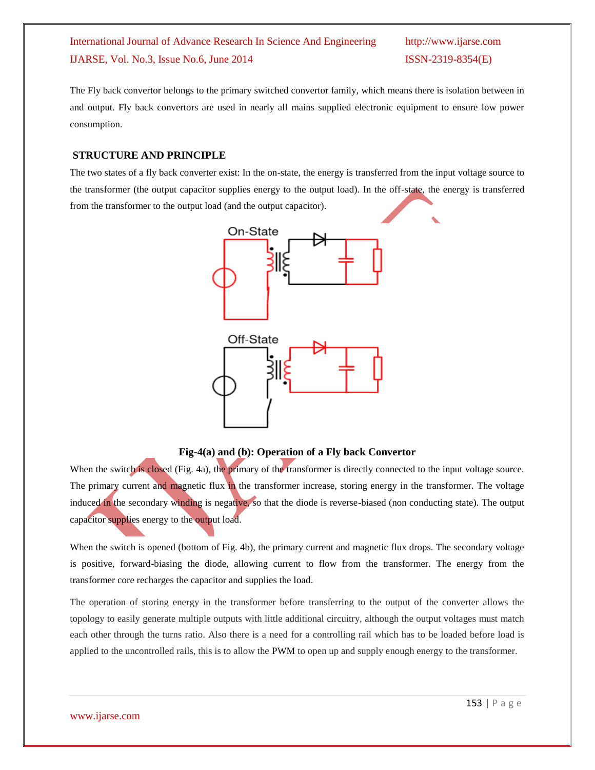The Fly back convertor belongs to the primary switched convertor family, which means there is isolation between in and output. Fly back convertors are used in nearly all mains supplied electronic equipment to ensure low power consumption.

#### **STRUCTURE AND PRINCIPLE**

The two states of a fly back converter exist: In the on-state, the energy is transferred from the input voltage source to the transformer (the output capacitor supplies energy to the output load). In the off-state, the energy is transferred from the transformer to the output load (and the output capacitor).



**Fig-4(a) and (b): Operation of a Fly back Convertor**

When the switch is closed (Fig. 4a), the primary of the transformer is directly connected to the input voltage source. The primary current and magnetic flux in the transformer increase, storing energy in the transformer. The voltage induced in the secondary winding is negative, so that the diode is reverse-biased (non conducting state). The output capacitor supplies energy to the output load.

When the switch is opened (bottom of Fig. 4b), the primary current and magnetic flux drops. The secondary voltage is positive, forward-biasing the diode, allowing current to flow from the transformer. The energy from the transformer core recharges the capacitor and supplies the load.

The operation of storing energy in the transformer before transferring to the output of the converter allows the topology to easily generate multiple outputs with little additional circuitry, although the output voltages must match each other through the turns ratio. Also there is a need for a controlling rail which has to be loaded before load is applied to the uncontrolled rails, this is to allow the [PWM](http://en.wikipedia.org/wiki/Pulse-width_modulation) to open up and supply enough energy to the transformer.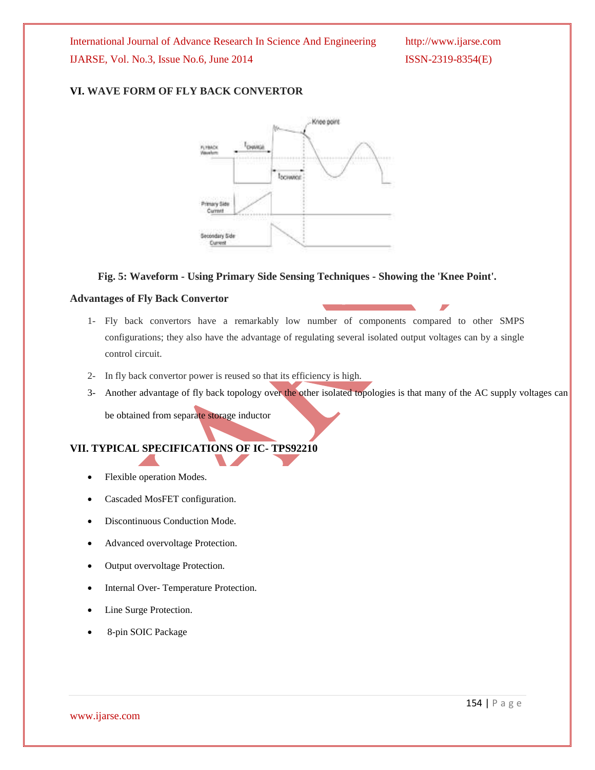#### **VI. WAVE FORM OF FLY BACK CONVERTOR**



#### **Fig. 5: Waveform - Using Primary Side Sensing Techniques - Showing the 'Knee Point'.**

#### **Advantages of Fly Back Convertor**

- 1- Fly back convertors have a remarkably low number of components compared to other SMPS configurations; they also have the advantage of regulating several isolated output voltages can by a single control circuit.
- 2- In fly back convertor power is reused so that its efficiency is high.
- 3- Another advantage of fly back topology over the other isolated topologies is that many of the AC supply voltages can

be obtained from separate storage inductor

## **VII. TYPICAL SPECIFICATIONS OF IC- TPS92210**

- Flexible operation Modes.
- Cascaded MosFET configuration.
- Discontinuous Conduction Mode.
- Advanced overvoltage Protection.
- Output overvoltage Protection.
- Internal Over- Temperature Protection.
- Line Surge Protection.
- 8-pin SOIC Package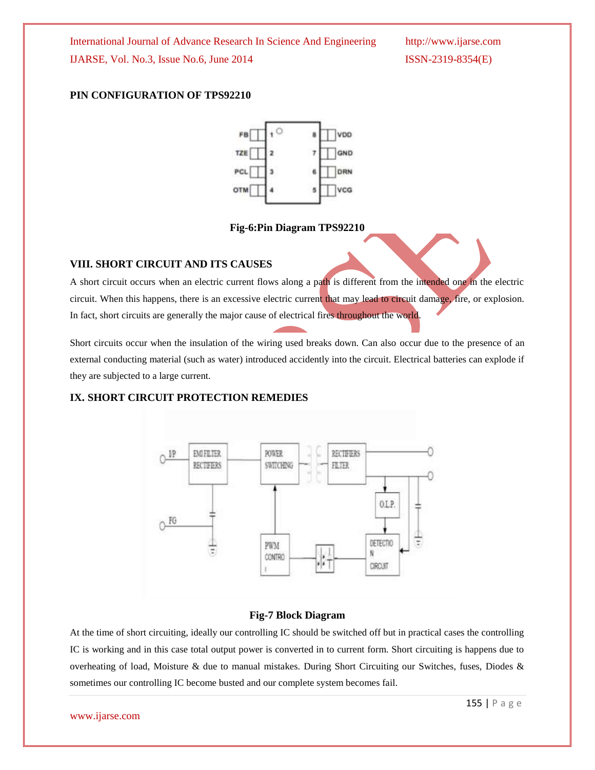#### **PIN CONFIGURATION OF TPS92210**



**Fig-6:Pin Diagram TPS92210**

#### **VIII. SHORT CIRCUIT AND ITS CAUSES**

A short circuit occurs when an electric current flows along a path is different from the intended one in the electric circuit. When this happens, there is an excessive electric current that may lead to circuit damage, fire, or explosion. In fact, short circuits are generally the major cause of electrical fires throughout the world.

Short circuits occur when the insulation of the wiring used breaks down. Can also occur due to the presence of an external conducting material (such as water) introduced accidently into the circuit. Electrical batteries can explode if they are subjected to a large current.

#### **IX. SHORT CIRCUIT PROTECTION REMEDIES**



#### **Fig-7 Block Diagram**

At the time of short circuiting, ideally our controlling IC should be switched off but in practical cases the controlling IC is working and in this case total output power is converted in to current form. Short circuiting is happens due to overheating of load, Moisture & due to manual mistakes. During Short Circuiting our Switches, fuses, Diodes & sometimes our controlling IC become busted and our complete system becomes fail.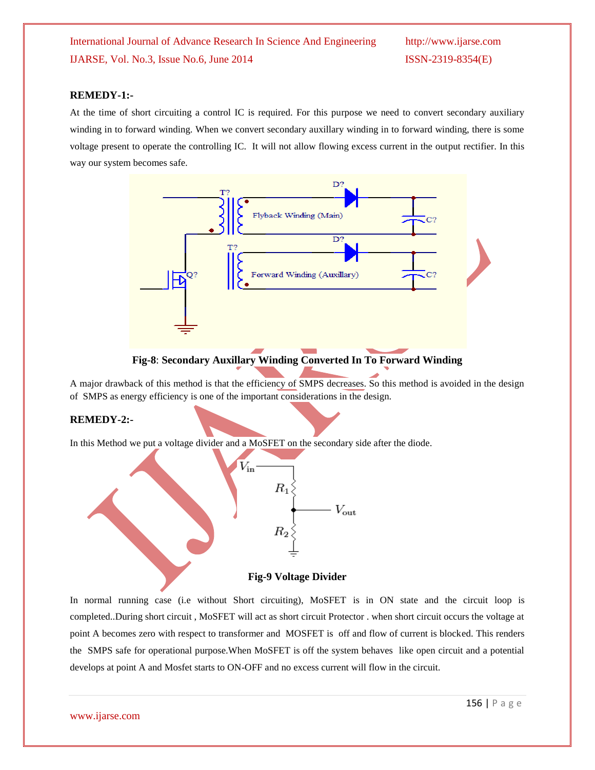#### **REMEDY-1:-**

At the time of short circuiting a control IC is required. For this purpose we need to convert secondary auxiliary winding in to forward winding. When we convert secondary auxillary winding in to forward winding, there is some voltage present to operate the controlling IC. It will not allow flowing excess current in the output rectifier. In this way our system becomes safe.



#### **Fig-8**: **Secondary Auxillary Winding Converted In To Forward Winding**

A major drawback of this method is that the efficiency of SMPS decreases. So this method is avoided in the design of SMPS as energy efficiency is one of the important considerations in the design.

#### **REMEDY-2:-**

In this Method we put a voltage divider and a MoSFET on the secondary side after the diode.



In normal running case (i.e without Short circuiting), MoSFET is in ON state and the circuit loop is completed..During short circuit , MoSFET will act as short circuit Protector . when short circuit occurs the voltage at point A becomes zero with respect to transformer and MOSFET is off and flow of current is blocked. This renders the SMPS safe for operational purpose.When MoSFET is off the system behaves like open circuit and a potential develops at point A and Mosfet starts to ON-OFF and no excess current will flow in the circuit.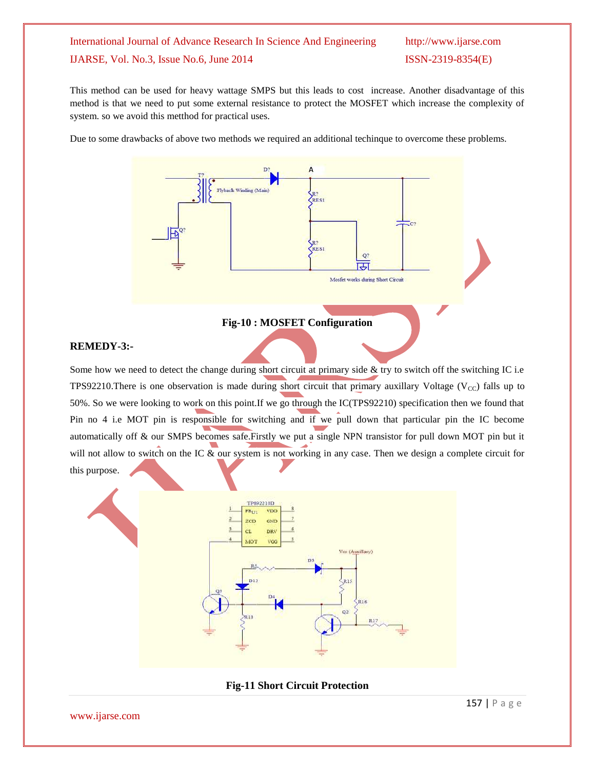This method can be used for heavy wattage SMPS but this leads to cost increase. Another disadvantage of this method is that we need to put some external resistance to protect the MOSFET which increase the complexity of system. so we avoid this metthod for practical uses.

Due to some drawbacks of above two methods we required an additional techinque to overcome these problems.



#### **Fig-10 : MOSFET Configuration**

#### **REMEDY-3:-**

Some how we need to detect the change during short circuit at primary side  $\&$  try to switch off the switching IC i.e TPS92210.There is one observation is made during short circuit that primary auxillary Voltage ( $V_{\text{CC}}$ ) falls up to 50%. So we were looking to work on this point.If we go through the IC(TPS92210) specification then we found that Pin no 4 i.e MOT pin is responsible for switching and if we pull down that particular pin the IC become automatically off & our SMPS becomes safe.Firstly we put a single NPN transistor for pull down MOT pin but it will not allow to switch on the IC & our system is not working in any case. Then we design a complete circuit for this purpose.



**Fig-11 Short Circuit Protection**

[www.ijarse.com](http://www.ijarse.com/)